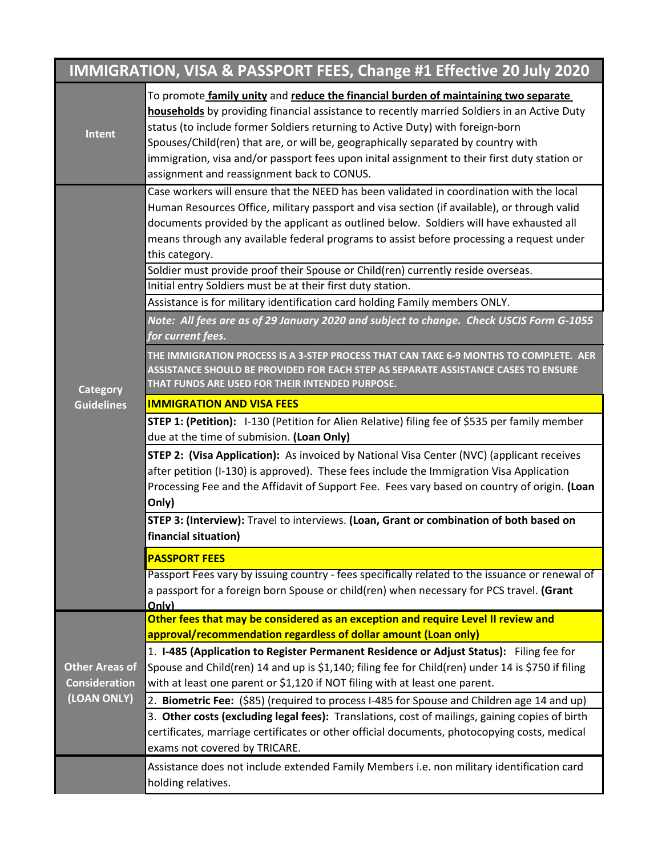| IMMIGRATION, VISA & PASSPORT FEES, Change #1 Effective 20 July 2020 |                                                                                                                                                                                                                                                                                                                                                                                                                                                                                                         |  |
|---------------------------------------------------------------------|---------------------------------------------------------------------------------------------------------------------------------------------------------------------------------------------------------------------------------------------------------------------------------------------------------------------------------------------------------------------------------------------------------------------------------------------------------------------------------------------------------|--|
| Intent                                                              | To promote family unity and reduce the financial burden of maintaining two separate<br>households by providing financial assistance to recently married Soldiers in an Active Duty<br>status (to include former Soldiers returning to Active Duty) with foreign-born<br>Spouses/Child(ren) that are, or will be, geographically separated by country with<br>immigration, visa and/or passport fees upon inital assignment to their first duty station or<br>assignment and reassignment back to CONUS. |  |
| <b>Category</b>                                                     | Case workers will ensure that the NEED has been validated in coordination with the local<br>Human Resources Office, military passport and visa section (if available), or through valid<br>documents provided by the applicant as outlined below. Soldiers will have exhausted all<br>means through any available federal programs to assist before processing a request under<br>this category.                                                                                                        |  |
|                                                                     | Soldier must provide proof their Spouse or Child(ren) currently reside overseas.                                                                                                                                                                                                                                                                                                                                                                                                                        |  |
|                                                                     | Initial entry Soldiers must be at their first duty station.<br>Assistance is for military identification card holding Family members ONLY.                                                                                                                                                                                                                                                                                                                                                              |  |
|                                                                     | Note: All fees are as of 29 January 2020 and subject to change. Check USCIS Form G-1055<br>for current fees.                                                                                                                                                                                                                                                                                                                                                                                            |  |
|                                                                     | THE IMMIGRATION PROCESS IS A 3-STEP PROCESS THAT CAN TAKE 6-9 MONTHS TO COMPLETE. AER<br>ASSISTANCE SHOULD BE PROVIDED FOR EACH STEP AS SEPARATE ASSISTANCE CASES TO ENSURE<br>THAT FUNDS ARE USED FOR THEIR INTENDED PURPOSE.                                                                                                                                                                                                                                                                          |  |
| <b>Guidelines</b>                                                   | <b>IMMIGRATION AND VISA FEES</b>                                                                                                                                                                                                                                                                                                                                                                                                                                                                        |  |
|                                                                     | <b>STEP 1: (Petition):</b> I-130 (Petition for Alien Relative) filing fee of \$535 per family member<br>due at the time of submision. (Loan Only)                                                                                                                                                                                                                                                                                                                                                       |  |
|                                                                     | <b>STEP 2: (Visa Application):</b> As invoiced by National Visa Center (NVC) (applicant receives<br>after petition (I-130) is approved). These fees include the Immigration Visa Application<br>Processing Fee and the Affidavit of Support Fee. Fees vary based on country of origin. (Loan<br>Only)                                                                                                                                                                                                   |  |
|                                                                     | STEP 3: (Interview): Travel to interviews. (Loan, Grant or combination of both based on<br>financial situation)                                                                                                                                                                                                                                                                                                                                                                                         |  |
|                                                                     | <b>PASSPORT FEES</b>                                                                                                                                                                                                                                                                                                                                                                                                                                                                                    |  |
|                                                                     | Passport Fees vary by issuing country - fees specifically related to the issuance or renewal of<br>a passport for a foreign born Spouse or child(ren) when necessary for PCS travel. (Grant<br>Only)                                                                                                                                                                                                                                                                                                    |  |
| <b>Other Areas of</b><br><b>Consideration</b>                       | Other fees that may be considered as an exception and require Level II review and                                                                                                                                                                                                                                                                                                                                                                                                                       |  |
|                                                                     | approval/recommendation regardless of dollar amount (Loan only)                                                                                                                                                                                                                                                                                                                                                                                                                                         |  |
|                                                                     | 1. I-485 (Application to Register Permanent Residence or Adjust Status): Filing fee for<br>Spouse and Child(ren) 14 and up is \$1,140; filing fee for Child(ren) under 14 is \$750 if filing<br>with at least one parent or \$1,120 if NOT filing with at least one parent.                                                                                                                                                                                                                             |  |
| (LOAN ONLY)                                                         | 2. Biometric Fee: (\$85) (required to process I-485 for Spouse and Children age 14 and up)                                                                                                                                                                                                                                                                                                                                                                                                              |  |
|                                                                     | 3. Other costs (excluding legal fees): Translations, cost of mailings, gaining copies of birth<br>certificates, marriage certificates or other official documents, photocopying costs, medical<br>exams not covered by TRICARE.                                                                                                                                                                                                                                                                         |  |
|                                                                     | Assistance does not include extended Family Members i.e. non military identification card<br>holding relatives.                                                                                                                                                                                                                                                                                                                                                                                         |  |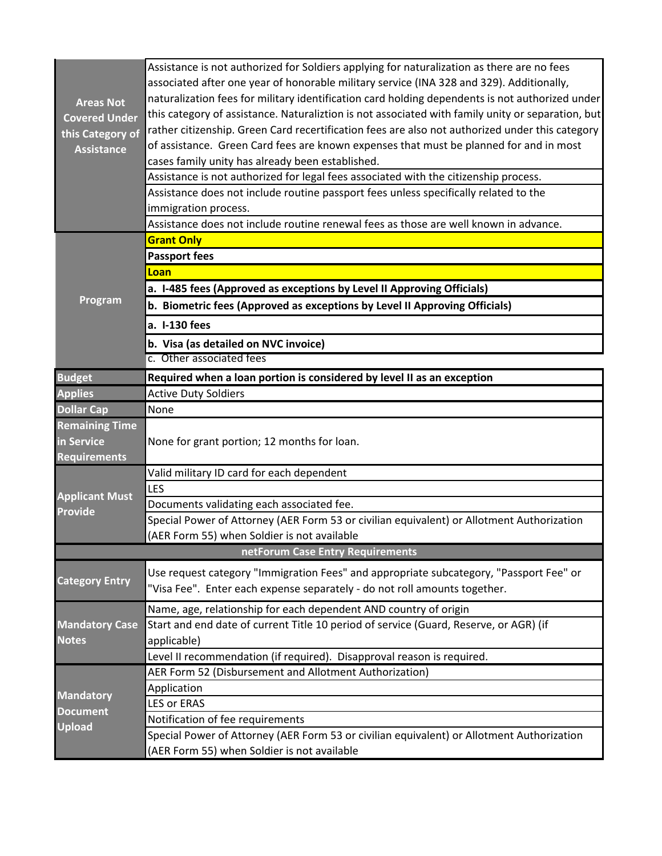|                                                      | Assistance is not authorized for Soldiers applying for naturalization as there are no fees        |  |
|------------------------------------------------------|---------------------------------------------------------------------------------------------------|--|
|                                                      | associated after one year of honorable military service (INA 328 and 329). Additionally,          |  |
| <b>Areas Not</b>                                     | naturalization fees for military identification card holding dependents is not authorized under   |  |
| <b>Covered Under</b>                                 | this category of assistance. Naturaliztion is not associated with family unity or separation, but |  |
| this Category of                                     | rather citizenship. Green Card recertification fees are also not authorized under this category   |  |
| <b>Assistance</b>                                    | of assistance. Green Card fees are known expenses that must be planned for and in most            |  |
|                                                      | cases family unity has already been established.                                                  |  |
|                                                      | Assistance is not authorized for legal fees associated with the citizenship process.              |  |
|                                                      | Assistance does not include routine passport fees unless specifically related to the              |  |
|                                                      | immigration process.                                                                              |  |
|                                                      | Assistance does not include routine renewal fees as those are well known in advance.              |  |
| Program                                              | <b>Grant Only</b>                                                                                 |  |
|                                                      | <b>Passport fees</b>                                                                              |  |
|                                                      | Loan                                                                                              |  |
|                                                      | a. I-485 fees (Approved as exceptions by Level II Approving Officials)                            |  |
|                                                      | b. Biometric fees (Approved as exceptions by Level II Approving Officials)                        |  |
|                                                      | a. I-130 fees                                                                                     |  |
|                                                      | b. Visa (as detailed on NVC invoice)                                                              |  |
|                                                      | c. Other associated fees                                                                          |  |
| <b>Budget</b>                                        | Required when a loan portion is considered by level II as an exception                            |  |
| <b>Applies</b>                                       | <b>Active Duty Soldiers</b>                                                                       |  |
| <b>Dollar Cap</b>                                    | None                                                                                              |  |
| <b>Remaining Time</b>                                |                                                                                                   |  |
| in Service                                           | None for grant portion; 12 months for loan.                                                       |  |
| <b>Requirements</b>                                  |                                                                                                   |  |
|                                                      | Valid military ID card for each dependent                                                         |  |
| <b>Applicant Must</b>                                | LES                                                                                               |  |
| <b>Provide</b>                                       | Documents validating each associated fee.                                                         |  |
|                                                      | Special Power of Attorney (AER Form 53 or civilian equivalent) or Allotment Authorization         |  |
|                                                      | (AER Form 55) when Soldier is not available                                                       |  |
| netForum Case Entry Requirements                     |                                                                                                   |  |
|                                                      | Use request category "Immigration Fees" and appropriate subcategory, "Passport Fee" or            |  |
| <b>Category Entry</b>                                | "Visa Fee". Enter each expense separately - do not roll amounts together.                         |  |
|                                                      | Name, age, relationship for each dependent AND country of origin                                  |  |
| <b>Mandatory Case</b>                                | Start and end date of current Title 10 period of service (Guard, Reserve, or AGR) (if             |  |
| <b>Notes</b>                                         | applicable)                                                                                       |  |
|                                                      | Level II recommendation (if required). Disapproval reason is required.                            |  |
| <b>Mandatory</b><br><b>Document</b><br><b>Upload</b> | AER Form 52 (Disbursement and Allotment Authorization)                                            |  |
|                                                      | Application                                                                                       |  |
|                                                      | <b>LES or ERAS</b>                                                                                |  |
|                                                      | Notification of fee requirements                                                                  |  |
|                                                      | Special Power of Attorney (AER Form 53 or civilian equivalent) or Allotment Authorization         |  |
|                                                      | (AER Form 55) when Soldier is not available                                                       |  |